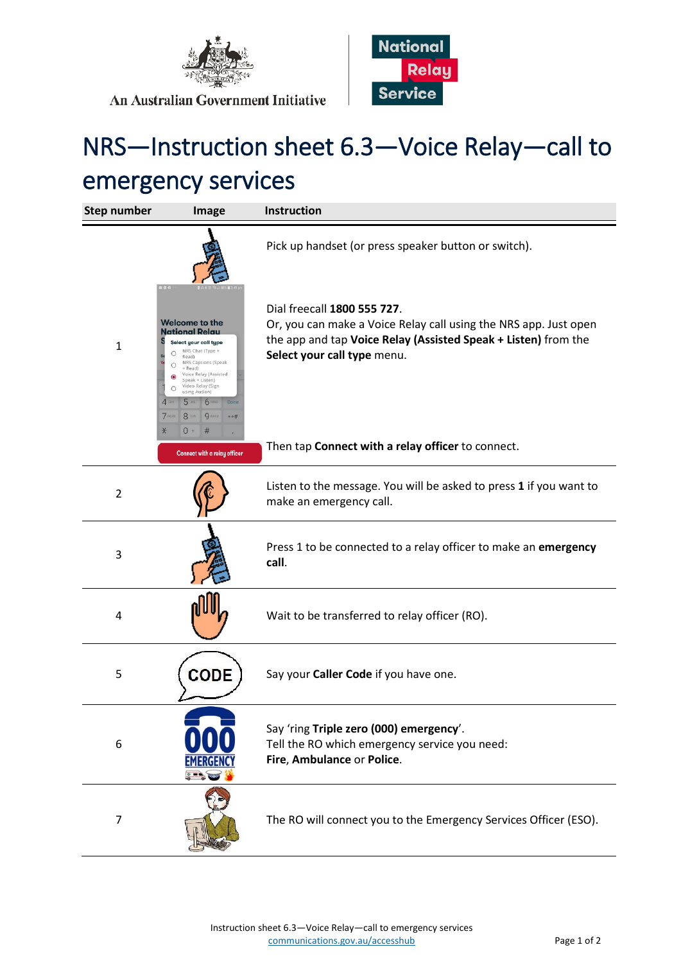



## An Australian Government Initiative

## NRS—Instruction sheet 6.3—Voice Relay—call to emergency services

| <b>Step number</b> | Image                                                                                                                                                                                                                                                                                                                                                | Instruction                                                                                                                                                                                      |
|--------------------|------------------------------------------------------------------------------------------------------------------------------------------------------------------------------------------------------------------------------------------------------------------------------------------------------------------------------------------------------|--------------------------------------------------------------------------------------------------------------------------------------------------------------------------------------------------|
|                    |                                                                                                                                                                                                                                                                                                                                                      | Pick up handset (or press speaker button or switch).                                                                                                                                             |
| $\mathbf{1}$       | Welcome to the<br><b>National Relau</b><br>Select your call type<br>NRS Chat (Type +<br>Ω<br>Read)<br>NRS Captions (Speak<br>Ω<br>+ Read)<br>Voice Relay (Assisted<br>Speak + Listen)<br>Video Relay (Sign<br>$\bigcirc$<br>using Auslan)<br><b>6 мно</b><br>5 <sub>cm</sub><br>Done<br>8 TUV<br><b>9</b> wxyz<br>$7$ PQRS<br>$* + 4i$<br>$0 +$<br># | Dial freecall 1800 555 727.<br>Or, you can make a Voice Relay call using the NRS app. Just open<br>the app and tap Voice Relay (Assisted Speak + Listen) from the<br>Select your call type menu. |
|                    | Connect with a relay officer                                                                                                                                                                                                                                                                                                                         | Then tap Connect with a relay officer to connect.                                                                                                                                                |
| $\overline{2}$     |                                                                                                                                                                                                                                                                                                                                                      | Listen to the message. You will be asked to press 1 if you want to<br>make an emergency call.                                                                                                    |
| 3                  |                                                                                                                                                                                                                                                                                                                                                      | Press 1 to be connected to a relay officer to make an emergency<br>call.                                                                                                                         |
| 4                  |                                                                                                                                                                                                                                                                                                                                                      | Wait to be transferred to relay officer (RO).                                                                                                                                                    |
| 5                  | CODE                                                                                                                                                                                                                                                                                                                                                 | Say your Caller Code if you have one.                                                                                                                                                            |
| 6                  |                                                                                                                                                                                                                                                                                                                                                      | Say 'ring Triple zero (000) emergency'.<br>Tell the RO which emergency service you need:<br>Fire, Ambulance or Police.                                                                           |
| $\overline{7}$     |                                                                                                                                                                                                                                                                                                                                                      | The RO will connect you to the Emergency Services Officer (ESO).                                                                                                                                 |